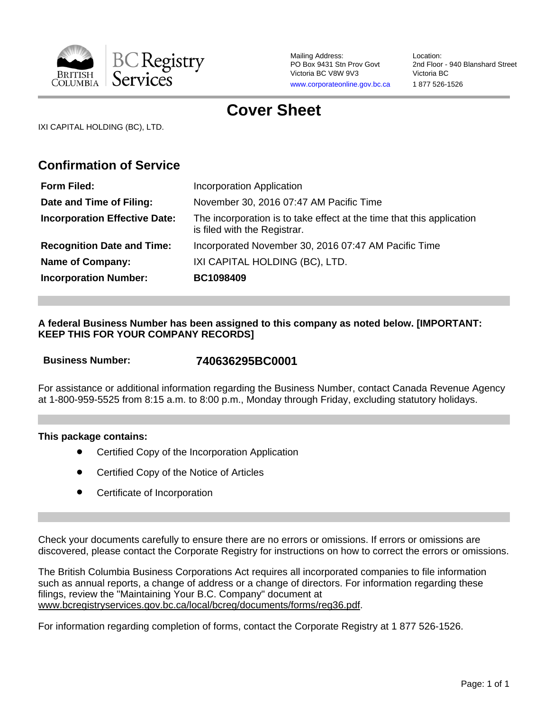

Mailing Address: PO Box 9431 Stn Prov Govt Victoria BC V8W 9V3 [www.corporateonline.gov.bc.ca](http://www.corporateonline.gov.bc.ca) Location: 2nd Floor - 940 Blanshard Street Victoria BC 1 877 526-1526

## **Cover Sheet**

IXI CAPITAL HOLDING (BC), LTD.

#### **Confirmation of Service**

| Form Filed:                          | <b>Incorporation Application</b>                                                                      |
|--------------------------------------|-------------------------------------------------------------------------------------------------------|
| Date and Time of Filing:             | November 30, 2016 07:47 AM Pacific Time                                                               |
| <b>Incorporation Effective Date:</b> | The incorporation is to take effect at the time that this application<br>is filed with the Registrar. |
| <b>Recognition Date and Time:</b>    | Incorporated November 30, 2016 07:47 AM Pacific Time                                                  |
| <b>Name of Company:</b>              | IXI CAPITAL HOLDING (BC), LTD.                                                                        |
| <b>Incorporation Number:</b>         | BC1098409                                                                                             |

#### **A federal Business Number has been assigned to this company as noted below. [IMPORTANT: KEEP THIS FOR YOUR COMPANY RECORDS]**

#### **Business Number: 740636295BC0001**

For assistance or additional information regarding the Business Number, contact Canada Revenue Agency at 1-800-959-5525 from 8:15 a.m. to 8:00 p.m., Monday through Friday, excluding statutory holidays.

#### **This package contains:**

- Certified Copy of the Incorporation Application
- Certified Copy of the Notice of Articles
- Certificate of Incorporation

Check your documents carefully to ensure there are no errors or omissions. If errors or omissions are discovered, please contact the Corporate Registry for instructions on how to correct the errors or omissions.

The British Columbia Business Corporations Act requires all incorporated companies to file information such as annual reports, a change of address or a change of directors. For information regarding these filings, review the "Maintaining Your B.C. Company" document at www.bcregistryservices.gov.bc.ca/local/bcreg/documents/forms/reg36.pdf.

For information regarding completion of forms, contact the Corporate Registry at 1 877 526-1526.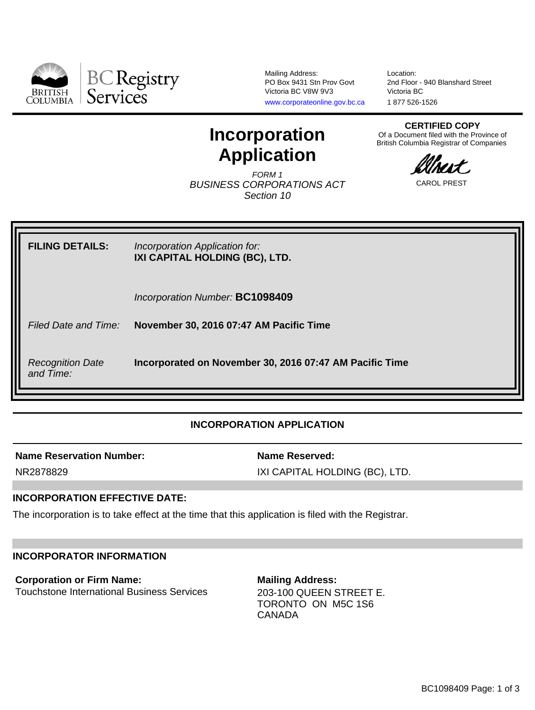

Mailing Address: PO Box 9431 Stn Prov Govt Victoria BC V8W 9V3 [www.corporateonline.gov.bc.ca](http://www.corporateonline.gov.bc.ca)

## **Incorporation Application**

Location: 2nd Floor - 940 Blanshard Street Victoria BC 1 877 526-1526

**CERTIFIED COPY** Of a Document filed with the Province of British Columbia Registrar of Companies

CAROL PREST

FORM 1 BUSINESS CORPORATIONS ACT Section 10

**FILING DETAILS:** Incorporation Application for: **IXI CAPITAL HOLDING (BC), LTD.** Incorporation Number: **BC1098409** Filed Date and Time: **November 30, 2016 07:47 AM Pacific Time** Recognition Date and Time: **Incorporated on November 30, 2016 07:47 AM Pacific Time**

#### **INCORPORATION APPLICATION**

**Name Reservation Number: Name Reserved:**

NR2878829 IXI CAPITAL HOLDING (BC), LTD.

#### **INCORPORATION EFFECTIVE DATE:**

The incorporation is to take effect at the time that this application is filed with the Registrar.

#### **INCORPORATOR INFORMATION**

**Corporation or Firm Name:** Touchstone International Business Services **Mailing Address:** 203-100 QUEEN STREET E. TORONTO ON M5C 1S6 **CANADA**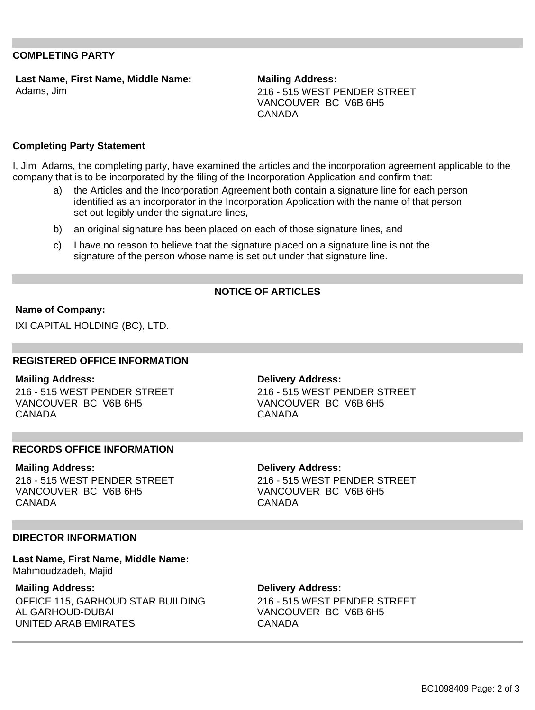#### **COMPLETING PARTY**

**Last Name, First Name, Middle Name:** Adams, Jim

**Mailing Address:** 216 - 515 WEST PENDER STREET VANCOUVER BC V6B 6H5 CANADA

#### **Completing Party Statement**

I, Jim Adams, the completing party, have examined the articles and the incorporation agreement applicable to the company that is to be incorporated by the filing of the Incorporation Application and confirm that:

- a) the Articles and the Incorporation Agreement both contain a signature line for each person identified as an incorporator in the Incorporation Application with the name of that person set out legibly under the signature lines,
- b) an original signature has been placed on each of those signature lines, and
- c) I have no reason to believe that the signature placed on a signature line is not the signature of the person whose name is set out under that signature line.

#### **NOTICE OF ARTICLES**

#### **Name of Company:**

IXI CAPITAL HOLDING (BC), LTD.

#### **REGISTERED OFFICE INFORMATION**

#### **Mailing Address:**

216 - 515 WEST PENDER STREET VANCOUVER BC V6B 6H5 CANADA

**Delivery Address:** 216 - 515 WEST PENDER STREET VANCOUVER BC V6B 6H5 CANADA

#### **RECORDS OFFICE INFORMATION**

#### **Mailing Address:**

216 - 515 WEST PENDER STREET VANCOUVER BC V6B 6H5 CANADA

**Delivery Address:** 216 - 515 WEST PENDER STREET VANCOUVER BC V6B 6H5 CANADA

#### **DIRECTOR INFORMATION**

**Last Name, First Name, Middle Name:** Mahmoudzadeh, Majid

**Mailing Address:** OFFICE 115, GARHOUD STAR BUILDING AL GARHOUD-DUBAI UNITED ARAB EMIRATES

#### **Delivery Address:**

216 - 515 WEST PENDER STREET VANCOUVER BC V6B 6H5 CANADA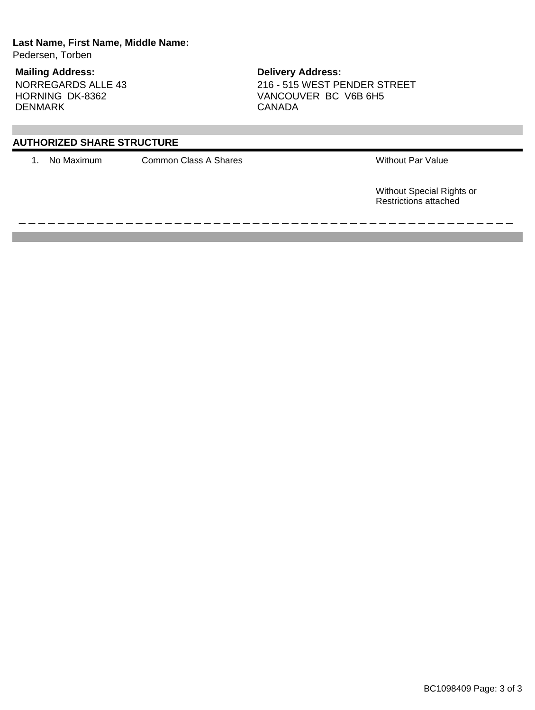#### **Last Name, First Name, Middle Name:**

Pedersen, Torben

#### **Mailing Address:**

NORREGARDS ALLE 43 HORNING DK-8362 DENMARK

#### **AUTHORIZED SHARE STRUCTURE**

1. No Maximum Common Class A Shares **Matter and Common Class A Shares** Without Par Value

\_ \_ \_ \_ \_ \_ \_ \_ \_ \_ \_ \_ \_ \_ \_ \_ \_ \_ \_ \_ \_ \_ \_ \_ \_ \_ \_ \_ \_ \_ \_ \_ \_ \_ \_ \_ \_ \_ \_ \_ \_ \_ \_ \_ \_ \_ \_ \_ \_ \_ \_

**Delivery Address:** 216 - 515 WEST PENDER STREET VANCOUVER BC V6B 6H5 CANADA

Without Special Rights or Restrictions attached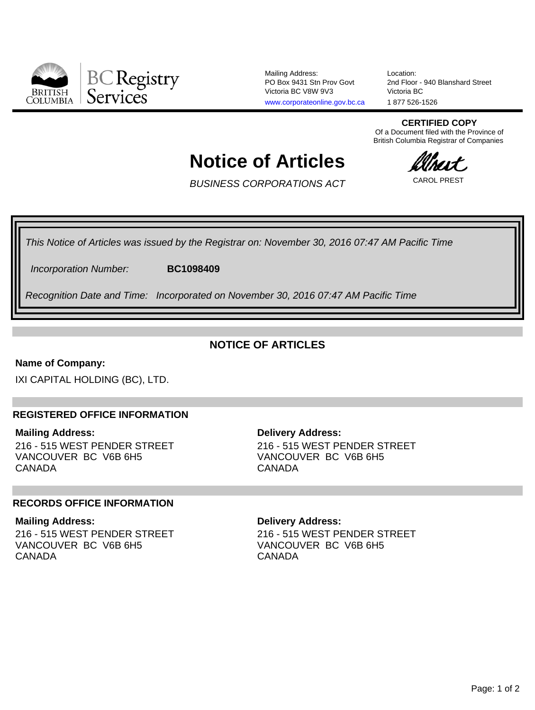

Mailing Address: PO Box 9431 Stn Prov Govt Victoria BC V8W 9V3 [www.corporateonline.gov.bc.ca](http://www.corporateonline.gov.bc.ca)

Location: 2nd Floor - 940 Blanshard Street Victoria BC 1 877 526-1526

**CERTIFIED COPY** Of a Document filed with the Province of British Columbia Registrar of Companies

## **Notice of Articles**

CAROL PREST

BUSINESS CORPORATIONS ACT

This Notice of Articles was issued by the Registrar on: November 30, 2016 07:47 AM Pacific Time

Incorporation Number: **BC1098409**

Recognition Date and Time: Incorporated on November 30, 2016 07:47 AM Pacific Time

#### **NOTICE OF ARTICLES**

#### **Name of Company:**

IXI CAPITAL HOLDING (BC), LTD.

#### **REGISTERED OFFICE INFORMATION**

**Mailing Address:** 216 - 515 WEST PENDER STREET VANCOUVER BC V6B 6H5 CANADA

**Delivery Address:** 216 - 515 WEST PENDER STREET VANCOUVER BC V6B 6H5 CANADA

#### **RECORDS OFFICE INFORMATION**

**Mailing Address:** 216 - 515 WEST PENDER STREET VANCOUVER BC V6B 6H5 CANADA

**Delivery Address:**

216 - 515 WEST PENDER STREET VANCOUVER BC V6B 6H5 CANADA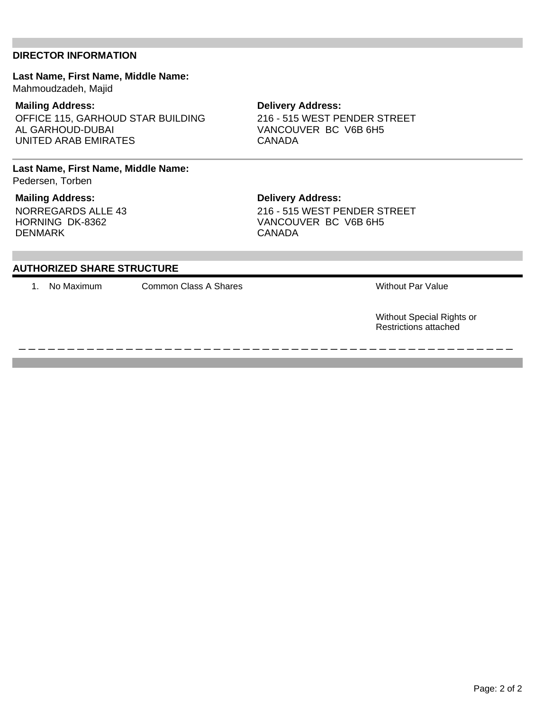#### **DIRECTOR INFORMATION**

#### **Last Name, First Name, Middle Name:** Mahmoudzadeh, Majid

**Mailing Address:** OFFICE 115, GARHOUD STAR BUILDING AL GARHOUD-DUBAI UNITED ARAB EMIRATES

### **Last Name, First Name, Middle Name:**

Pedersen, Torben

#### **Mailing Address:**

NORREGARDS ALLE 43 HORNING DK-8362 DENMARK

#### **Delivery Address:**

216 - 515 WEST PENDER STREET VANCOUVER BC V6B 6H5 CANADA

#### **Delivery Address:**

\_ \_ \_ \_ \_ \_ \_ \_ \_ \_ \_ \_ \_ \_ \_ \_ \_ \_ \_ \_ \_ \_ \_ \_ \_ \_ \_ \_ \_ \_ \_ \_ \_ \_ \_ \_ \_ \_ \_ \_ \_ \_ \_ \_ \_ \_ \_ \_ \_ \_ \_

216 - 515 WEST PENDER STREET VANCOUVER BC V6B 6H5 CANADA

#### **AUTHORIZED SHARE STRUCTURE**

1. No Maximum Common Class A Shares Without Par Value

Without Special Rights or Restrictions attached